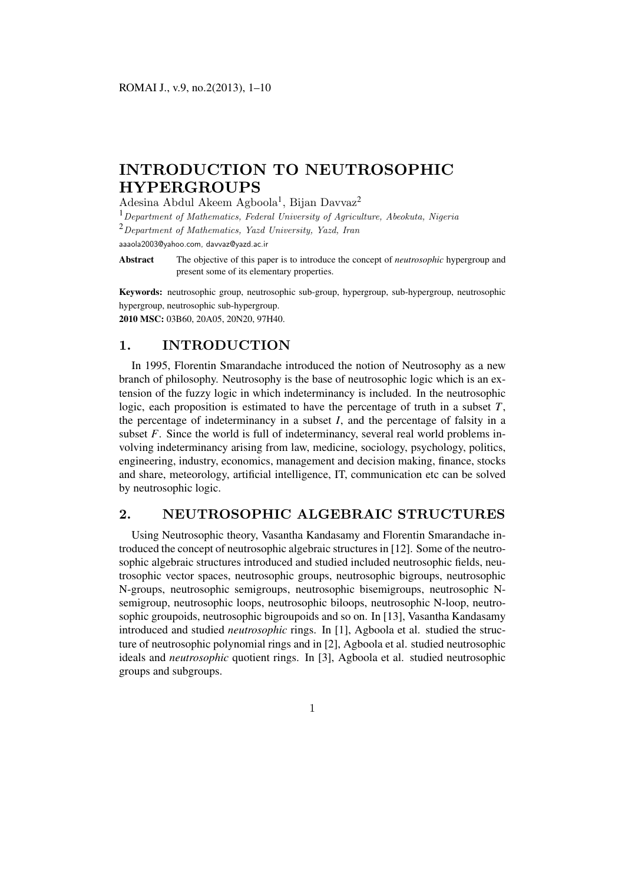# **INTRODUCTION TO NEUTROSOPHIC HYPERGROUPS**

### Adesina Abdul Akeem Agboola<sup>1</sup>, Bijan Davvaz<sup>2</sup>

<sup>1</sup>*Department of Mathematics, Federal University of Agriculture, Abeokuta, Nigeria* <sup>2</sup>*Department of Mathematics, Yazd University, Yazd, Iran* aaaola2003@yahoo.com, davvaz@yazd.ac.ir

Abstract The objective of this paper is to introduce the concept of *neutrosophic* hypergroup and present some of its elementary properties.

Keywords: neutrosophic group, neutrosophic sub-group, hypergroup, sub-hypergroup, neutrosophic hypergroup, neutrosophic sub-hypergroup. 2010 MSC: 03B60, 20A05, 20N20, 97H40.

# **1. INTRODUCTION**

In 1995, Florentin Smarandache introduced the notion of Neutrosophy as a new branch of philosophy. Neutrosophy is the base of neutrosophic logic which is an extension of the fuzzy logic in which indeterminancy is included. In the neutrosophic logic, each proposition is estimated to have the percentage of truth in a subset *T*, the percentage of indeterminancy in a subset *I*, and the percentage of falsity in a subset *F*. Since the world is full of indeterminancy, several real world problems involving indeterminancy arising from law, medicine, sociology, psychology, politics, engineering, industry, economics, management and decision making, finance, stocks and share, meteorology, artificial intelligence, IT, communication etc can be solved by neutrosophic logic.

## **2. NEUTROSOPHIC ALGEBRAIC STRUCTURES**

Using Neutrosophic theory, Vasantha Kandasamy and Florentin Smarandache introduced the concept of neutrosophic algebraic structures in [12]. Some of the neutrosophic algebraic structures introduced and studied included neutrosophic fields, neutrosophic vector spaces, neutrosophic groups, neutrosophic bigroups, neutrosophic N-groups, neutrosophic semigroups, neutrosophic bisemigroups, neutrosophic Nsemigroup, neutrosophic loops, neutrosophic biloops, neutrosophic N-loop, neutrosophic groupoids, neutrosophic bigroupoids and so on. In [13], Vasantha Kandasamy introduced and studied *neutrosophic* rings. In [1], Agboola et al. studied the structure of neutrosophic polynomial rings and in [2], Agboola et al. studied neutrosophic ideals and *neutrosophic* quotient rings. In [3], Agboola et al. studied neutrosophic groups and subgroups.

1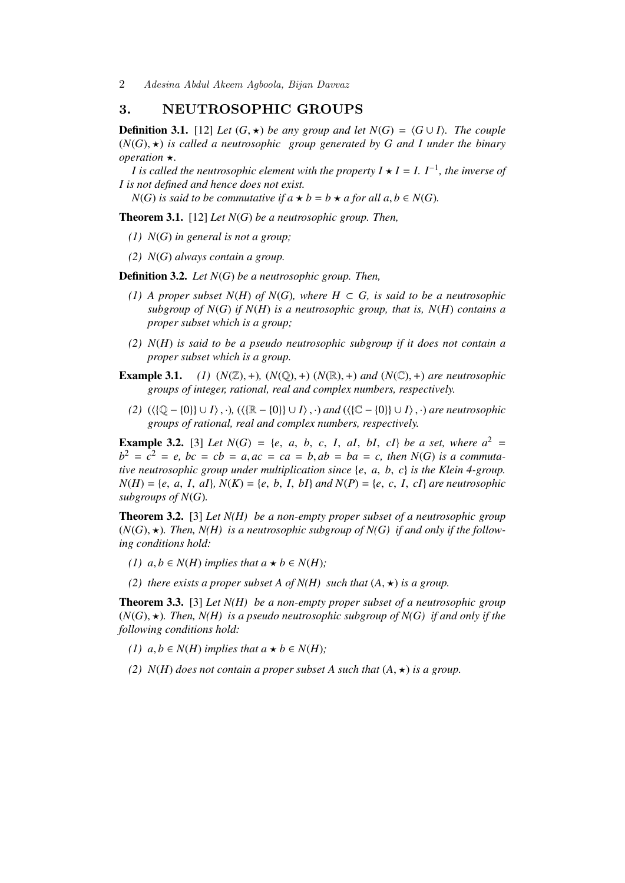2 *Adesina Abdul Akeem Agboola, Bijan Davvaz*

### **3. NEUTROSOPHIC GROUPS**

**Definition 3.1.** [12] *Let*  $(G, \star)$  *be any group and let*  $N(G) = \langle G \cup I \rangle$ *. The couple*  $(N(G), \star)$  *is called a neutrosophic group generated by G and I under the binary operation* ★*.* 

*I* is called the neutrosophic element with the property  $I \star I = I$ .  $I^{-1}$ , the inverse of *I is not defined and hence does not exist.*

*N*(*G*) *is said to be commutative if*  $a \star b = b \star a$  *for all*  $a, b \in N(G)$ *.* 

Theorem 3.1. [12] *Let N*(*G*) *be a neutrosophic group. Then,*

- *(1) N*(*G*) *in general is not a group;*
- *(2) N*(*G*) *always contain a group.*

Definition 3.2. *Let N*(*G*) *be a neutrosophic group. Then,*

- *(1) A proper subset N*(*H*) *of N*(*G*)*, where H* ⊂ *G, is said to be a neutrosophic subgroup of N*(*G*) *if N*(*H*) *is a neutrosophic group, that is, N*(*H*) *contains a proper subset which is a group;*
- *(2) N*(*H*) *is said to be a pseudo neutrosophic subgroup if it does not contain a proper subset which is a group.*
- **Example 3.1.** *(1)*  $(N(\mathbb{Z}), +)$ ,  $(N(\mathbb{Q}), +)$   $(N(\mathbb{R}), +)$  *and*  $(N(\mathbb{C}), +)$  *are neutrosophic groups of integer, rational, real and complex numbers, respectively.*
	- *(2)* (⟨{Q − {0}} ∪ *I*⟩, ·)*,* (⟨{R − {0}} ∪ *I*⟩, ·) *and* (⟨{C − {0}} ∪ *I*⟩, ·) *are neutrosophic groups of rational, real and complex numbers, respectively.*

**Example 3.2.** [3] *Let*  $N(G) = \{e, a, b, c, I, aI, bI, cI\}$  *be a set, where*  $a^2 =$  $b^2 = c^2 = e$ ,  $bc = cb = a$ ,  $ac = ca = b$ ,  $ab = ba = c$ , then  $N(G)$  *is a commutative neutrosophic group under multiplication since* {*e*, *a*, *b*, *c*} *is the Klein 4-group.*  $N(H) = \{e, a, I, aI\}, N(K) = \{e, b, I, bI\}$  *and*  $N(P) = \{e, c, I, cI\}$  *are neutrosophic subgroups of N*(*G*)*.*

Theorem 3.2. [3] *Let N(H) be a non-empty proper subset of a neutrosophic group*  $(N(G), \star)$ *. Then, N(H) is a neutrosophic subgroup of N(G) if and only if the following conditions hold:*

- *(1)*  $a, b \in N(H)$  *implies that*  $a \star b \in N(H)$ *;*
- *(2) there exists a proper subset A of N(H) such that*  $(A, \star)$  *is a group.*

Theorem 3.3. [3] *Let N(H) be a non-empty proper subset of a neutrosophic group*  $(N(G), \star)$ *. Then, N(H) is a pseudo neutrosophic subgroup of N(G) if and only if the following conditions hold:*

- *(1)*  $a, b \in N(H)$  *implies that*  $a \star b \in N(H)$ *;*
- *(2)*  $N(H)$  *does not contain a proper subset A such that*  $(A, \star)$  *is a group.*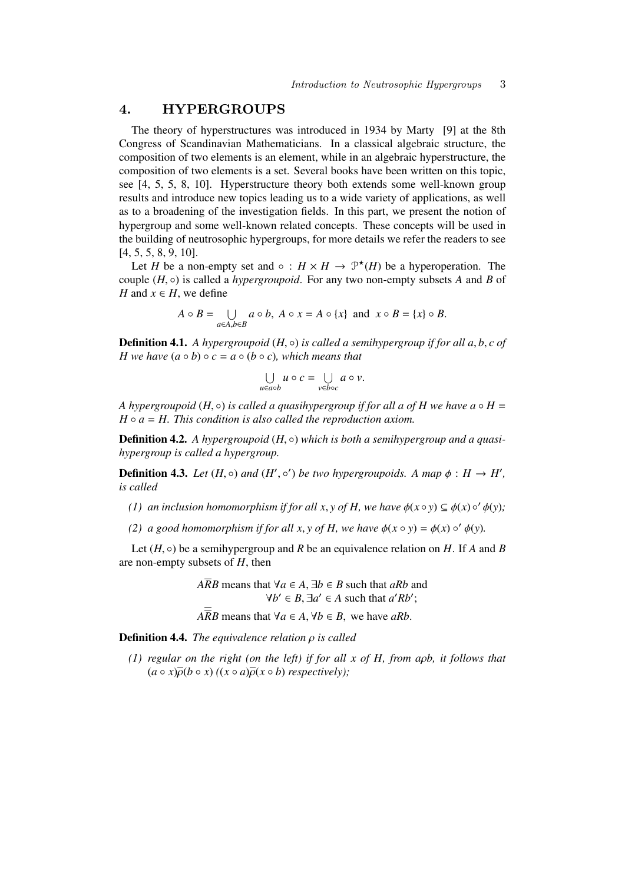## **4. HYPERGROUPS**

The theory of hyperstructures was introduced in 1934 by Marty [9] at the 8th Congress of Scandinavian Mathematicians. In a classical algebraic structure, the composition of two elements is an element, while in an algebraic hyperstructure, the composition of two elements is a set. Several books have been written on this topic, see [4, 5, 5, 8, 10]. Hyperstructure theory both extends some well-known group results and introduce new topics leading us to a wide variety of applications, as well as to a broadening of the investigation fields. In this part, we present the notion of hypergroup and some well-known related concepts. These concepts will be used in the building of neutrosophic hypergroups, for more details we refer the readers to see [4, 5, 5, 8, 9, 10].

Let *H* be a non-empty set and  $\circ$  :  $H \times H \to \mathcal{P}^{\star}(H)$  be a hyperoperation. The couple (*H*, ◦) is called a *hypergroupoid*. For any two non-empty subsets *A* and *B* of *H* and  $x \in H$ , we define

$$
A \circ B = \bigcup_{a \in A, b \in B} a \circ b, \ A \circ x = A \circ \{x\} \text{ and } x \circ B = \{x\} \circ B.
$$

**Definition 4.1.** *A hypergroupoid* (*H*, ◦) *is called a semihypergroup if for all a, b, c of H* we have  $(a \circ b) \circ c = a \circ (b \circ c)$ *, which means that* 

$$
\bigcup_{u\in a\circ b} u\circ c = \bigcup_{v\in b\circ c} a\circ v.
$$

*A* hypergroupoid  $(H, \circ)$  *is called a quasihypergroup if for all a of H we have a*  $\circ$  *H* =  $H \circ a = H$ . This condition is also called the reproduction axiom.

**Definition 4.2.** *A hypergroupoid* (*H*, ◦) *which is both a semihypergroup and a quasihypergroup is called a hypergroup.*

**Definition 4.3.** Let  $(H, \circ)$  and  $(H', \circ')$  be two hypergroupoids. A map  $\phi : H \to H'$ , *is called*

- *(1) an inclusion homomorphism if for all*  $x, y$  *<i>of H, we have*  $\phi(x \circ y) \subseteq \phi(x) \circ' \phi(y)$ ;
- *(2) a good homomorphism if for all x, y of H, we have*  $\phi(x \circ y) = \phi(x) \circ' \phi(y)$ *.*

Let  $(H, \circ)$  be a semihypergroup and *R* be an equivalence relation on *H*. If *A* and *B* are non-empty subsets of *H*, then

- *ARB* means that  $\forall a \in A$ ,  $\exists b \in B$  such that *aRb* and  $\forall b' \in B$ ,  $\exists a' \in A$  such that  $a'Rb'$ ;
- $A\overline{R}B$  means that  $\forall a \in A, \forall b \in B$ , we have *aRb*.

Definition 4.4. *The equivalence relation* ρ *is called*

*(1) regular on the right (on the left) if for all x of H, from a*ρ*b, it follows that*  $(a \circ x) \overline{\rho}(b \circ x)$   $((x \circ a) \overline{\rho}(x \circ b)$  *respectively*);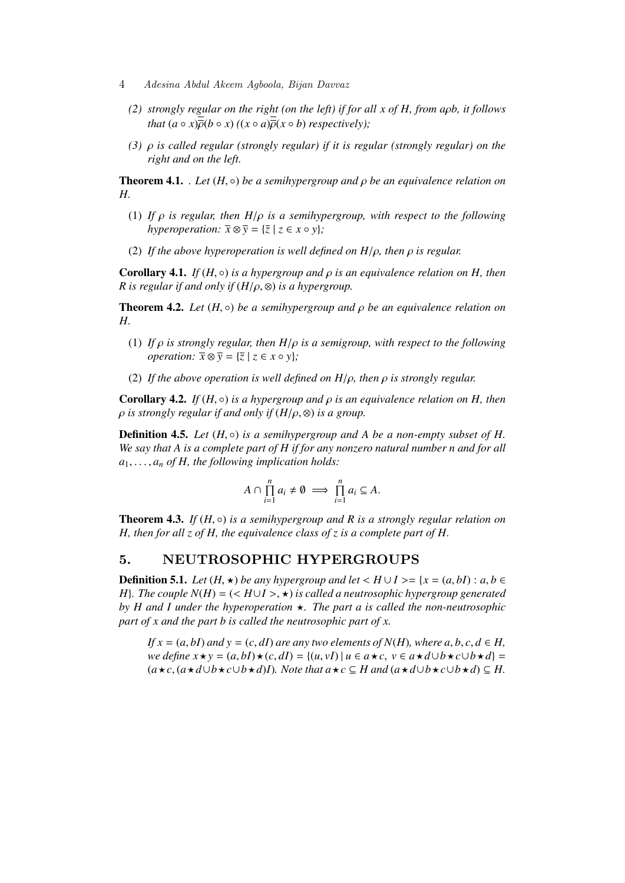- 4 *Adesina Abdul Akeem Agboola, Bijan Davvaz*
	- *(2) strongly regular on the right (on the left) if for all x of H, from a*ρ*b, it follows that*  $(a \circ x) \overline{b}(b \circ x)$   $((x \circ a) \overline{b}(x \circ b)$  *respectively*);
	- *(3)* ρ *is called regular (strongly regular) if it is regular (strongly regular) on the right and on the left.*

**Theorem 4.1.** *. Let*  $(H, \circ)$  *be a semihypergroup and*  $\rho$  *be an equivalence relation on H.*

- (1) *If* ρ *is regular, then H*/ρ *is a semihypergroup, with respect to the following hyperoperation:*  $\overline{x} \otimes \overline{y} = {\overline{z} \mid z \in x \circ y}$ *;*
- (2) *If the above hyperoperation is well defined on H*/ρ*, then* ρ *is regular.*

**Corollary 4.1.** *If*  $(H, \circ)$  *is a hypergroup and*  $\rho$  *is an equivalence relation on*  $H$ *, then R* is regular if and only if  $(H/\rho, \otimes)$  is a hypergroup.

**Theorem 4.2.** *Let*  $(H, \circ)$  *be a semihypergroup and*  $\rho$  *be an equivalence relation on H.*

- (1) *If* ρ *is strongly regular, then H*/ρ *is a semigroup, with respect to the following operation:*  $\overline{x} \otimes \overline{y} = {\overline{z} \mid z \in x \circ y}$ ;
- (2) *If the above operation is well defined on H*/ρ*, then* ρ *is strongly regular.*

**Corollary 4.2.** *If*  $(H, \circ)$  *is a hypergroup and*  $\rho$  *is an equivalence relation on*  $H$ *, then*  $\rho$  *is strongly regular if and only if*  $(H/\rho, \otimes)$  *is a group.* 

**Definition 4.5.** *Let*  $(H, \circ)$  *is a semihypergroup and A be a non-empty subset of H. We say that A is a complete part of H if for any nonzero natural number n and for all*  $a_1, \ldots, a_n$  *of H, the following implication holds:* 

$$
A \cap \prod_{i=1}^n a_i \neq \emptyset \implies \prod_{i=1}^n a_i \subseteq A.
$$

**Theorem 4.3.** *If*  $(H, \circ)$  *is a semihypergroup and R is a strongly regular relation on H, then for all z of H, the equivalence class of z is a complete part of H.*

## **5. NEUTROSOPHIC HYPERGROUPS**

**Definition 5.1.** *Let*  $(H, \star)$  *be any hypergroup and let*  $\lt H \cup I \gt I$   $\lt I$   $\lt (a, bI)$  :  $a, b \in$ *H*}*. The couple N(H)* = (<  $H \cup I$  >,  $\star$ ) *is called a neutrosophic hypergroup generated by H and I under the hyperoperation*  $\star$ *. The part a is called the non-neutrosophic part of x and the part b is called the neutrosophic part of x.*

*If*  $x = (a, bI)$  *and*  $y = (c, dI)$  *are any two elements of*  $N(H)$ *, where a, b, c, d*  $\in$  *H, we define*  $x \star y = (a, bI) \star (c, dI) = {(u, vI) | u ∈ a \star c, v ∈ a \star d ∪ b \star c ∪ b \star d}$  $(a \star c, (a \star d \cup b \star c \cup b \star d)I)$ . Note that  $a \star c \subseteq H$  and  $(a \star d \cup b \star c \cup b \star d) \subseteq H$ .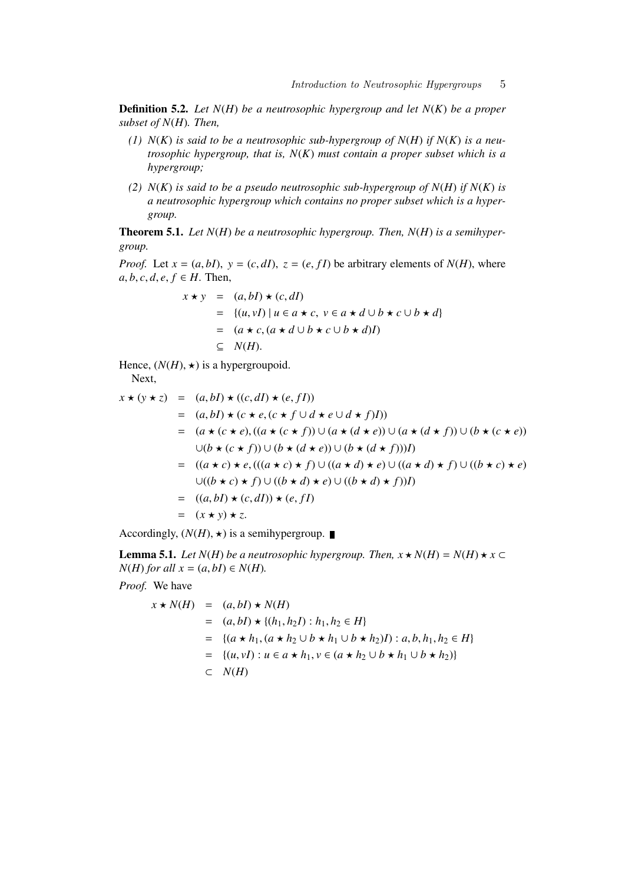Definition 5.2. *Let N*(*H*) *be a neutrosophic hypergroup and let N*(*K*) *be a proper subset of N*(*H*)*. Then,*

- *(1) N*(*K*) *is said to be a neutrosophic sub-hypergroup of N*(*H*) *if N*(*K*) *is a neutrosophic hypergroup, that is, N*(*K*) *must contain a proper subset which is a hypergroup;*
- *(2) N*(*K*) *is said to be a pseudo neutrosophic sub-hypergroup of N*(*H*) *if N*(*K*) *is a neutrosophic hypergroup which contains no proper subset which is a hypergroup.*

Theorem 5.1. *Let N*(*H*) *be a neutrosophic hypergroup. Then, N*(*H*) *is a semihypergroup.*

*Proof.* Let  $x = (a, bI)$ ,  $y = (c, dI)$ ,  $z = (e, fI)$  be arbitrary elements of  $N(H)$ , where  $a, b, c, d, e, f \in H$ . Then,

$$
x \star y = (a, bI) \star (c, dI)
$$
  
= {(u,vI) | u ∈ a \star c, v ∈ a \star d ∪ b \star c ∪ b \star d}  
= (a \star c, (a \star d ∪ b \star c ∪ b \star d)I)  
⊆ N(H).

Hence,  $(N(H), \star)$  is a hypergroupoid. Next,

$$
x \star (y \star z) = (a, bI) \star ((c, dI) \star (e, fI))
$$
  
\n
$$
= (a, bI) \star (c \star e, (c \star f \cup d \star e \cup d \star f)I))
$$
  
\n
$$
= (a \star (c \star e), ((a \star (c \star f)) \cup (a \star (d \star e)) \cup (a \star (d \star f)) \cup (b \star (c \star e))
$$
  
\n
$$
\cup (b \star (c \star f)) \cup (b \star (d \star e)) \cup (b \star (d \star f))I)
$$
  
\n
$$
= ((a \star c) \star e, (((a \star c) \star f) \cup ((a \star d) \star e) \cup ((a \star d) \star f) \cup ((b \star c) \star e))
$$
  
\n
$$
\cup ((b \star c) \star f) \cup ((b \star d) \star e) \cup ((b \star d) \star f))I)
$$
  
\n
$$
= ((a, bI) \star (c, dI)) \star (e, fI)
$$
  
\n
$$
= (x \star y) \star z.
$$

Accordingly,  $(N(H), \star)$  is a semihypergroup.

**Lemma 5.1.** *Let*  $N(H)$  *be a neutrosophic hypergroup. Then,*  $x \star N(H) = N(H) \star x \subset$  $N(H)$  *for all*  $x = (a, b) \in N(H)$ .

*Proof.* We have

$$
x \star N(H) = (a, bI) \star N(H)
$$
  
=  $(a, bI) \star \{(h_1, h_2I) : h_1, h_2 \in H\}$   
=  $\{(a \star h_1, (a \star h_2 \cup b \star h_1 \cup b \star h_2)I) : a, b, h_1, h_2 \in H\}$   
=  $\{(u, vI) : u \in a \star h_1, v \in (a \star h_2 \cup b \star h_1 \cup b \star h_2)\}$   
 $\subset N(H)$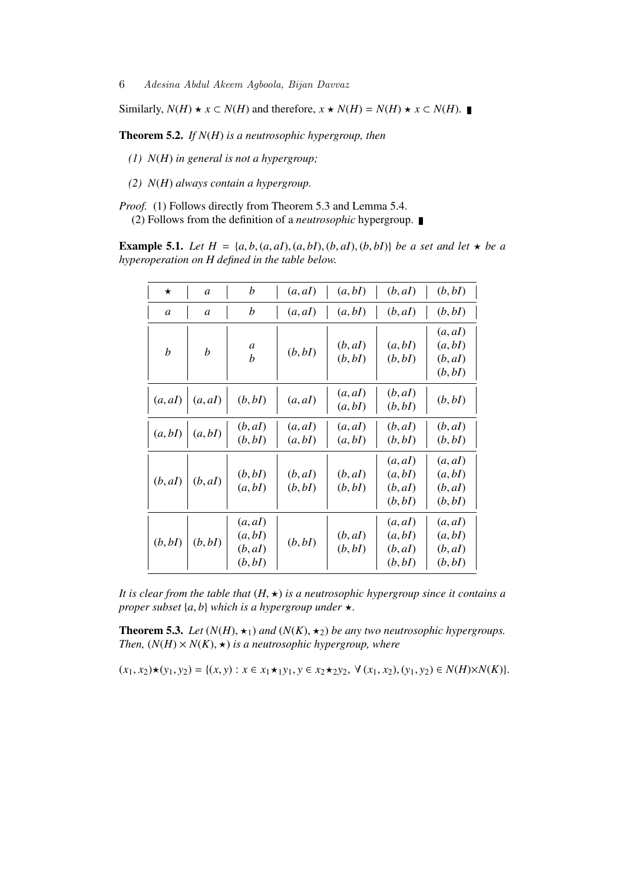Similarly, *N*(*H*) ★ *x* ⊂ *N*(*H*) and therefore, *x* ★ *N*(*H*) = *N*(*H*) ★ *x* ⊂ *N*(*H*).

Theorem 5.2. *If N*(*H*) *is a neutrosophic hypergroup, then*

*(1) N*(*H*) *in general is not a hypergroup;*

*(2) N*(*H*) *always contain a hypergroup.*

*Proof.* (1) Follows directly from Theorem 5.3 and Lemma 5.4. (2) Follows from the definition of a *neutrosophic* hypergroup.

**Example 5.1.** *Let*  $H = \{a, b, (a, aI), (a, bI), (b, aI), (b, bI)\}\$  *be a set and let*  $\star$  *be a hyperoperation on H defined in the table below.*

| $\star$          | $\mathfrak a$    | h                                        | (a, aI)            | (a, bI)            | (b, aI)                                  | (b, b)                                   |
|------------------|------------------|------------------------------------------|--------------------|--------------------|------------------------------------------|------------------------------------------|
| a                | a                | b                                        | (a, aI)            | (a, bI)            | (b, aI)                                  | (b, bI)                                  |
| $\boldsymbol{b}$ | $\boldsymbol{b}$ | a<br>b                                   | (b, bI)            | (b, aI)<br>(b, bI) | (a, bI)<br>(b, bI)                       | (a, aI)<br>(a, bI)<br>(b, aI)<br>(b, bI) |
| (a, aI)          | (a, aI)          | (b, bI)                                  | (a, aI)            | (a, aI)<br>(a, bI) | (b, aI)<br>(b, bI)                       | (b, bI)                                  |
| (a, bI)          | (a, bI)          | (b, aI)<br>(b, bI)                       | (a, aI)<br>(a, bI) | (a, aI)<br>(a, bI) | (b, aI)<br>(b, bI)                       | (b, aI)<br>(b, bI)                       |
| (b, aI)          | (b, aI)          | (b, b)<br>(a, bI)                        | (b, aI)<br>(b, bI) | (b, aI)<br>(b, bI) | (a, aI)<br>(a, bI)<br>(b, aI)<br>(b, bI) | (a, aI)<br>(a, bI)<br>(b, aI)<br>(b, bI) |
| (b, bI)          | (b, bI)          | (a, aI)<br>(a, bI)<br>(b, aI)<br>(b, bI) | (b, bI)            | (b, aI)<br>(b, bI) | (a, aI)<br>(a, bI)<br>(b, aI)<br>(b, bI) | (a, aI)<br>(a, bI)<br>(b, aI)<br>(b, bI) |

*It is clear from the table that*  $(H, \star)$  *is a neutrosophic hypergroup since it contains a proper subset*  $\{a, b\}$  *which is a hypergroup under*  $\star$ *.* 

**Theorem 5.3.** *Let*  $(N(H), \star_1)$  *and*  $(N(K), \star_2)$  *be any two neutrosophic hypergroups. Then,*  $(N(H) \times N(K), \star)$  *is a neutrosophic hypergroup, where* 

$$
(x_1, x_2) \star (y_1, y_2) = \{(x, y) : x \in x_1 \star_1 y_1, y \in x_2 \star_2 y_2, \forall (x_1, x_2), (y_1, y_2) \in N(H) \times N(K)\}.
$$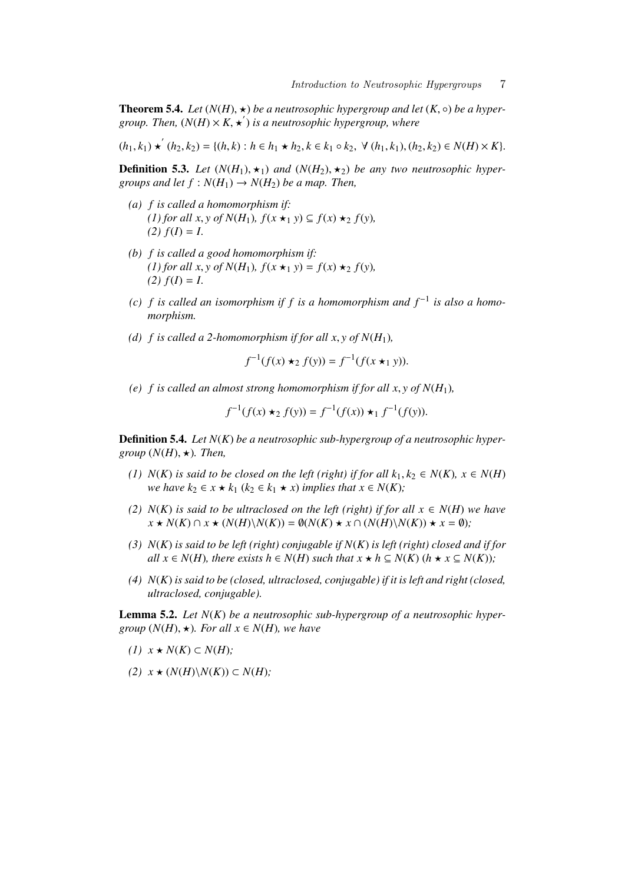**Theorem 5.4.** *Let*  $(N(H), \star)$  *be a neutrosophic hypergroup and let*  $(K, \circ)$  *be a hyper*group. Then,  $(N(H) \times K, \star')$  is a neutrosophic hypergroup, where

 $(h_1, k_1) \star (h_2, k_2) = \{(h, k) : h \in h_1 \star h_2, k \in k_1 \circ k_2, \forall (h_1, k_1), (h_2, k_2) \in N(H) \times K\}.$ 

**Definition 5.3.** Let  $(N(H_1), \star_1)$  and  $(N(H_2), \star_2)$  be any two neutrosophic hyper*groups and let*  $f : N(H_1) \rightarrow N(H_2)$  *be a map. Then,* 

- *(a) f is called a homomorphism if:*  $(1)$  for all  $x, y$  of  $N(H_1)$ ,  $f(x \star_1 y) \subseteq f(x) \star_2 f(y)$ ,  $(2) f(I) = I$ .
- *(b) f is called a good homomorphism if:*  $(1)$  for all x, y of  $N(H_1)$ ,  $f(x \star_1 y) = f(x) \star_2 f(y)$ ,  $(2) f(I) = I$ .
- (c)  $f$  is called an isomorphism if  $f$  is a homomorphism and  $f^{-1}$  is also a homo*morphism.*
- *(d)*  $f$  *is called a 2-homomorphism if for all x, y of*  $N(H_1)$ *,*

$$
f^{-1}(f(x) \star_2 f(y)) = f^{-1}(f(x \star_1 y)).
$$

(e) *f* is called an almost strong homomorphism if for all x,  $\mathbf{v}$  of  $N(H_1)$ ,

$$
f^{-1}(f(x) \star_2 f(y)) = f^{-1}(f(x)) \star_1 f^{-1}(f(y)).
$$

Definition 5.4. *Let N*(*K*) *be a neutrosophic sub-hypergroup of a neutrosophic hypergroup*  $(N(H), \star)$ *. Then,* 

- *(1) N*(*K*) *is said to be closed on the left (right) if for all*  $k_1, k_2$  ∈ *N*(*K*)*,*  $x$  ∈ *N*(*H*) *we have k*<sub>2</sub>  $\in$  *x*  $\star$  *k*<sub>1</sub> (*k*<sub>2</sub>  $\in$  *k*<sub>1</sub>  $\star$  *x*) *implies that x*  $\in$  *N*(*K*)*;*
- *(2)*  $N(K)$  *is said to be ultraclosed on the left (right) if for all*  $x \in N(H)$  *we have*  $x \star N(K) \cap x \star (N(H) \setminus N(K)) = \emptyset(N(K) \star x \cap (N(H) \setminus N(K)) \star x = \emptyset$ );
- *(3) N*(*K*) *is said to be left (right) conjugable if N*(*K*) *is left (right) closed and if for all*  $x \in N(H)$ *, there exists h*  $\in N(H)$  *such that*  $x \star h \subseteq N(K)$  ( $h \star x \subseteq N(K)$ );
- *(4) N*(*K*) *is said to be (closed, ultraclosed, conjugable) if it is left and right (closed, ultraclosed, conjugable).*

Lemma 5.2. *Let N*(*K*) *be a neutrosophic sub-hypergroup of a neutrosophic hypergroup*  $(N(H), \star)$ *. For all*  $x \in N(H)$ *, we have* 

- $(I)$  *x* ★ *N*(*K*) ⊂ *N*(*H*)*;*
- $(2)$  *x* ★  $(N(H)\N(K))$  ⊂  $N(H)$ ;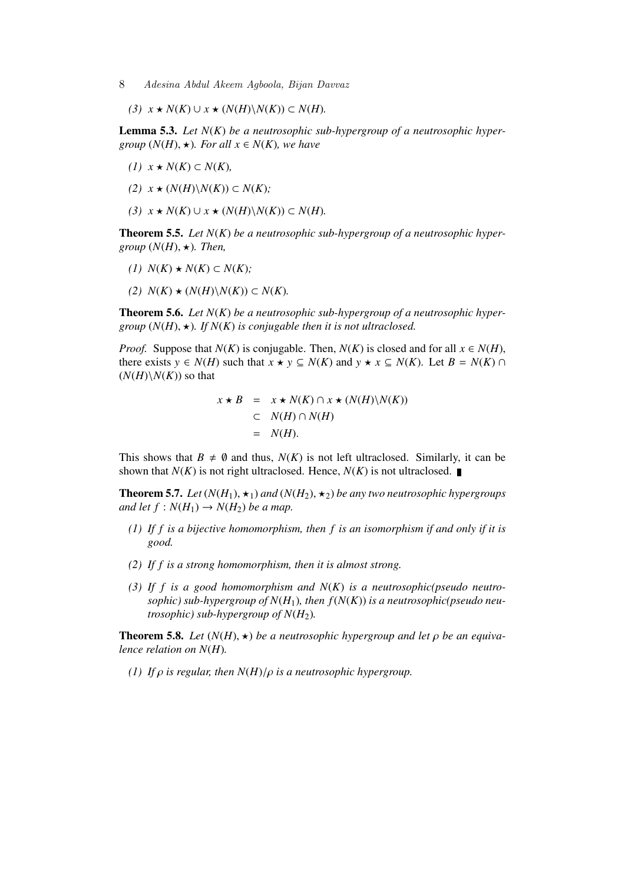- 8 *Adesina Abdul Akeem Agboola, Bijan Davvaz*
	- *(3)*  $x \star N(K) \cup x \star (N(H) \setminus N(K)) \subset N(H)$ *.*

Lemma 5.3. *Let N*(*K*) *be a neutrosophic sub-hypergroup of a neutrosophic hypergroup*  $(N(H), \star)$ *. For all*  $x \in N(K)$ *, we have* 

- *(1)*  $x$  ★  $N(K)$  ⊂  $N(K)$ ,
- $(2)$  *x* ★  $(N(H)\N(K))$  ⊂  $N(K)$ ;
- *(3)*  $x \star N(K) \cup x \star (N(H) \setminus N(K)) \subset N(H)$ *.*

Theorem 5.5. *Let N*(*K*) *be a neutrosophic sub-hypergroup of a neutrosophic hypergroup*  $(N(H), \star)$ *. Then,* 

- *(1)*  $N(K)$  ★  $N(K)$  ⊂  $N(K)$ ;
- $(2)$  *N*(*K*) ★ (*N*(*H*)\*N*(*K*)) ⊂ *N*(*K*).

Theorem 5.6. *Let N*(*K*) *be a neutrosophic sub-hypergroup of a neutrosophic hypergroup*  $(N(H), \star)$ *. If*  $N(K)$  *is conjugable then it is not ultraclosed.* 

*Proof.* Suppose that *N*(*K*) is conjugable. Then, *N*(*K*) is closed and for all  $x \in N(H)$ , there exists  $y \in N(H)$  such that  $x \star y \subseteq N(K)$  and  $y \star x \subseteq N(K)$ . Let  $B = N(K) \cap$  $(N(H)\backslash N(K))$  so that

$$
x \star B = x \star N(K) \cap x \star (N(H) \setminus N(K))
$$
  
\n
$$
\subset N(H) \cap N(H)
$$
  
\n
$$
= N(H).
$$

This shows that  $B \neq \emptyset$  and thus,  $N(K)$  is not left ultraclosed. Similarly, it can be shown that  $N(K)$  is not right ultraclosed. Hence,  $N(K)$  is not ultraclosed.

**Theorem 5.7.** Let  $(N(H_1), \star_1)$  and  $(N(H_2), \star_2)$  be any two neutrosophic hypergroups *and let*  $f : N(H_1) \rightarrow N(H_2)$  *be a map.* 

- *(1) If f is a bijective homomorphism, then f is an isomorphism if and only if it is good.*
- *(2) If f is a strong homomorphism, then it is almost strong.*
- *(3) If f is a good homomorphism and N*(*K*) *is a neutrosophic(pseudo neutro*sophic) sub-hypergroup of  $N(H_1)$ , then  $f(N(K))$  is a neutrosophic(pseudo neu*trosophic)* sub-hypergroup of  $N(H_2)$ .

**Theorem 5.8.** Let  $(N(H), \star)$  be a neutrosophic hypergroup and let  $\rho$  be an equiva*lence relation on N*(*H*)*.*

*(1) If*  $\rho$  *is regular, then*  $N(H)/\rho$  *is a neutrosophic hypergroup.*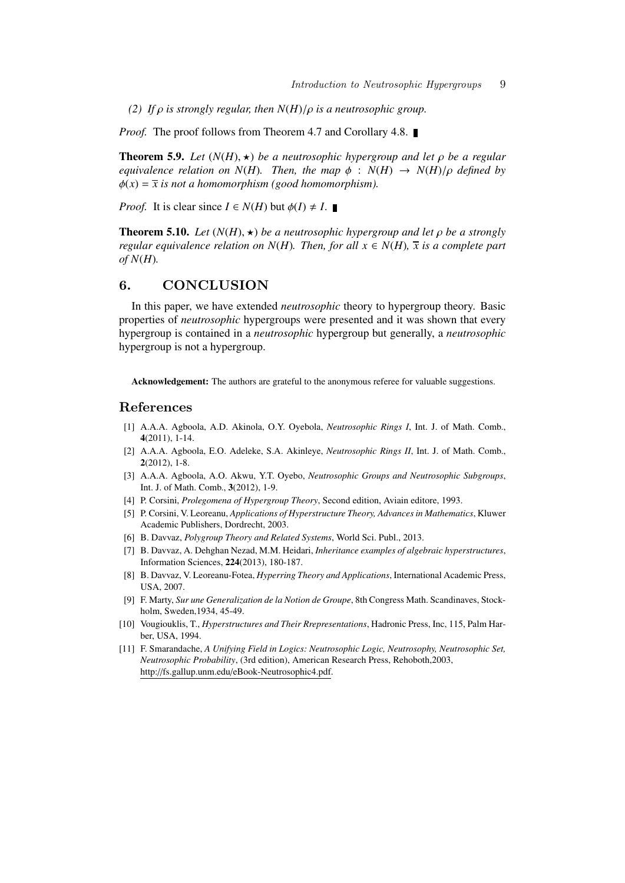*(2) If*  $\rho$  *is strongly regular, then*  $N(H)/\rho$  *is a neutrosophic group.* 

*Proof.* The proof follows from Theorem 4.7 and Corollary 4.8. ■

**Theorem 5.9.** *Let*  $(N(H), \star)$  *be a neutrosophic hypergroup and let*  $\rho$  *be a regular equivalence relation on*  $N(H)$ *. Then, the map*  $\phi$  :  $N(H) \rightarrow N(H)/\rho$  *defined by*  $\phi(x) = \bar{x}$  *is not a homomorphism* (good homomorphism).

*Proof.* It is clear since  $I \in N(H)$  but  $\phi(I) \neq I$ .

**Theorem 5.10.** Let  $(N(H), \star)$  be a neutrosophic hypergroup and let  $\rho$  be a strongly *regular equivalence relation on N(H). Then, for all*  $x \in N(H)$ ,  $\overline{x}$  *is a complete part of N*(*H*)*.*

#### **6. CONCLUSION**

In this paper, we have extended *neutrosophic* theory to hypergroup theory. Basic properties of *neutrosophic* hypergroups were presented and it was shown that every hypergroup is contained in a *neutrosophic* hypergroup but generally, a *neutrosophic* hypergroup is not a hypergroup.

Acknowledgement: The authors are grateful to the anonymous referee for valuable suggestions.

#### **References**

- [1] A.A.A. Agboola, A.D. Akinola, O.Y. Oyebola, *Neutrosophic Rings I*, Int. J. of Math. Comb., 4(2011), 1-14.
- [2] A.A.A. Agboola, E.O. Adeleke, S.A. Akinleye, *Neutrosophic Rings II*, Int. J. of Math. Comb., 2(2012), 1-8.
- [3] A.A.A. Agboola, A.O. Akwu, Y.T. Oyebo, *Neutrosophic Groups and Neutrosophic Subgroups*, Int. J. of Math. Comb., 3(2012), 1-9.
- [4] P. Corsini, *Prolegomena of Hypergroup Theory*, Second edition, Aviain editore, 1993.
- [5] P. Corsini, V. Leoreanu, *Applications of Hyperstructure Theory, Advances in Mathematics*, Kluwer Academic Publishers, Dordrecht, 2003.
- [6] B. Davvaz, *Polygroup Theory and Related Systems*, World Sci. Publ., 2013.
- [7] B. Davvaz, A. Dehghan Nezad, M.M. Heidari, *Inheritance examples of algebraic hyperstructures*, Information Sciences, 224(2013), 180-187.
- [8] B. Davvaz, V. Leoreanu-Fotea, *Hyperring Theory and Applications*, International Academic Press, USA, 2007.
- [9] F. Marty, *Sur une Generalization de la Notion de Groupe*, 8th Congress Math. Scandinaves, Stockholm, Sweden,1934, 45-49.
- [10] Vougiouklis, T., *Hyperstructures and Their Rrepresentations*, Hadronic Press, Inc, 115, Palm Harber, USA, 1994.
- [11] F. Smarandache, *A Unifying Field in Logics: Neutrosophic Logic, Neutrosophy, Neutrosophic Set, Neutrosophic Probability*, (3rd edition), American Research Press, Rehoboth,2003, http://fs.gallup.unm.edu/eBook-Neutrosophic4.pdf.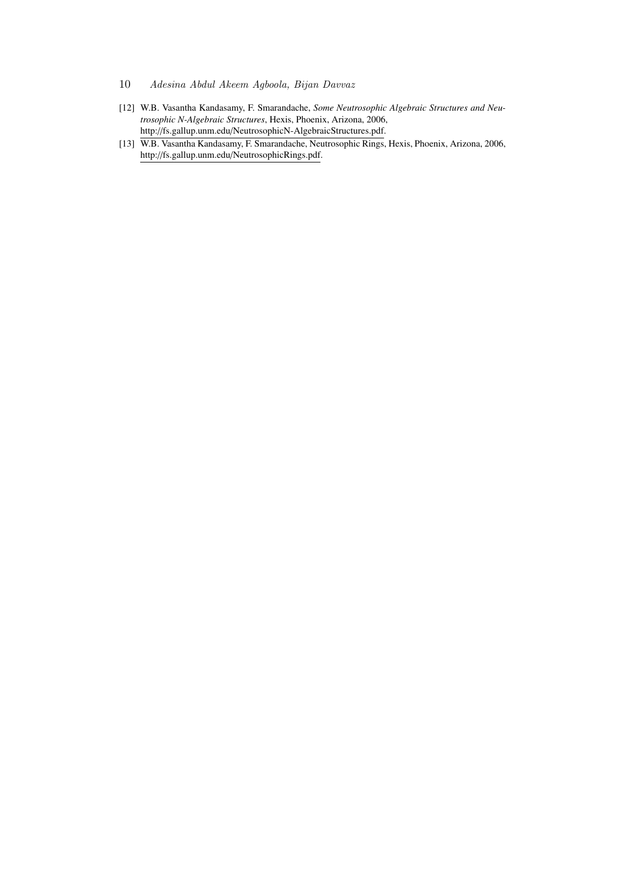- 10 *Adesina Abdul Akeem Agboola, Bijan Davvaz*
- [12] W.B. Vasantha Kandasamy, F. Smarandache, *Some Neutrosophic Algebraic Structures and Neutrosophic N-Algebraic Structures*, Hexis, Phoenix, Arizona, 2006, http://fs.gallup.unm.edu/NeutrosophicN-AlgebraicStructures.pdf.
- [13] W.B. Vasantha Kandasamy, F. Smarandache, Neutrosophic Rings, Hexis, Phoenix, Arizona, 2006, http://fs.gallup.unm.edu/NeutrosophicRings.pdf.